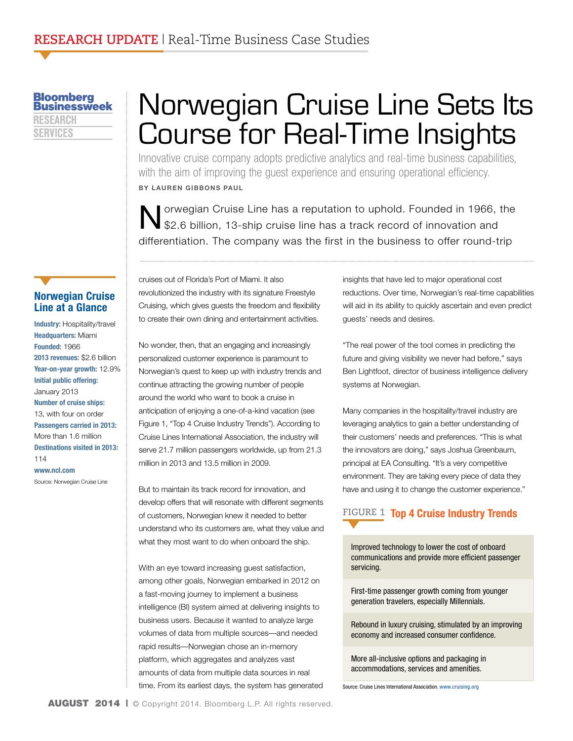**Bloomberg Businessweek** RESEARCH **SERVICES** 

# Norwegian Cruise Line Sets Its Course for Real-Time Insights

Innovative cruise company adopts predictive analytics and real-time business capabilities, with the aim of improving the guest experience and ensuring operational efficiency. **BY LAUREN GIBBONS PAUL** 

Norwegian Cruise Line has a reputation to uphold. Founded in 1966, the \$2.6 billion, 13-ship cruise line has a track record of innovation and differentiation. The company was the first in the business to offer round-trip

#### **Norwegian Cruise Line at a Glance**

**Industry:** Hospitality/travel **Headquarters:** Miami **Founded:** 1966 **2013 revenues:** \$2.6 billion **Year-on-year growth:** 12.9% **Initial public offering:**  January 2013 **Number of cruise ships:** 13, with four on order **Passengers carried in 2013:** More than 1.6 million **Destinations visited in 2013:** 114 **<www.ncl.com>**

Source: Norwegian Cruise Line

cruises out of Florida's Port of Miami. It also revolutionized the industry with its signature Freestyle Cruising, which gives guests the freedom and flexibility to create their own dining and entertainment activities.

No wonder, then, that an engaging and increasingly personalized customer experience is paramount to Norwegian's quest to keep up with industry trends and continue attracting the growing number of people around the world who want to book a cruise in anticipation of enjoying a one-of-a-kind vacation (see Figure 1, "Top 4 Cruise Industry Trends"). According to Cruise Lines International Association, the industry will serve 21.7 million passengers worldwide, up from 21.3 million in 2013 and 13.5 million in 2009.

But to maintain its track record for innovation, and develop offers that will resonate with different segments of customers, Norwegian knew it needed to better understand who its customers are, what they value and what they most want to do when onboard the ship.

With an eye toward increasing guest satisfaction, among other goals, Norwegian embarked in 2012 on a fast-moving journey to implement a business intelligence (BI) system aimed at delivering insights to business users. Because it wanted to analyze large volumes of data from multiple sources—and needed rapid results—Norwegian chose an in-memory platform, which aggregates and analyzes vast amounts of data from multiple data sources in real time. From its earliest days, the system has generated insights that have led to major operational cost reductions. Over time, Norwegian's real-time capabilities will aid in its ability to quickly ascertain and even predict guests' needs and desires.

"The real power of the tool comes in predicting the future and giving visibility we never had before," says Ben Lightfoot, director of business intelligence delivery systems at Norwegian.

Many companies in the hospitality/travel industry are leveraging analytics to gain a better understanding of their customers' needs and preferences. "This is what the innovators are doing," says Joshua Greenbaum, principal at EA Consulting. "It's a very competitive environment. They are taking every piece of data they have and using it to change the customer experience."

### **FIGURE 1 Top 4 Cruise Industry Trends**

Improved technology to lower the cost of onboard communications and provide more efficient passenger servicing.

First-time passenger growth coming from younger generation travelers, especially Millennials.

Rebound in luxury cruising, stimulated by an improving economy and increased consumer confidence.

More all-inclusive options and packaging in accommodations, services and amenities.

Source: Cruise Lines International Association. <www.cruising.org>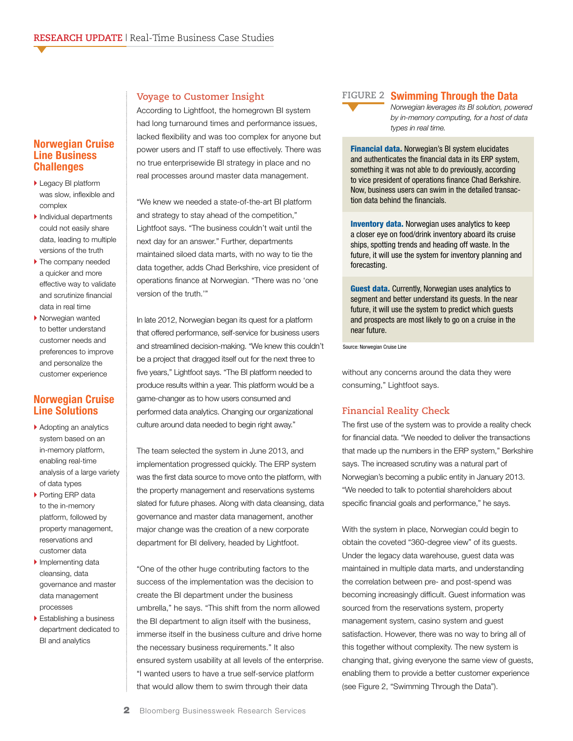#### **Norwegian Cruise Line Business Challenges**

- ▶ Legacy BI platform was slow, inflexible and complex
- } Individual departments could not easily share data, leading to multiple versions of the truth
- ▶ The company needed a quicker and more effective way to validate and scrutinize financial data in real time
- } Norwegian wanted to better understand customer needs and preferences to improve and personalize the customer experience

#### **Norwegian Cruise Line Solutions**

- ▶ Adopting an analytics system based on an in-memory platform, enabling real-time analysis of a large variety of data types
- ▶ Porting ERP data to the in-memory platform, followed by property management, reservations and customer data
- Implementing data cleansing, data governance and master data management processes
- **Establishing a business** department dedicated to BI and analytics

#### **Voyage to Customer Insight**

According to Lightfoot, the homegrown BI system had long turnaround times and performance issues, lacked flexibility and was too complex for anyone but power users and IT staff to use effectively. There was no true enterprisewide BI strategy in place and no real processes around master data management.

"We knew we needed a state-of-the-art BI platform and strategy to stay ahead of the competition," Lightfoot says. "The business couldn't wait until the next day for an answer." Further, departments maintained siloed data marts, with no way to tie the data together, adds Chad Berkshire, vice president of operations finance at Norwegian. "There was no 'one version of the truth.'"

In late 2012, Norwegian began its quest for a platform that offered performance, self-service for business users and streamlined decision-making. "We knew this couldn't be a project that dragged itself out for the next three to five years," Lightfoot says. "The BI platform needed to produce results within a year. This platform would be a game-changer as to how users consumed and performed data analytics. Changing our organizational culture around data needed to begin right away."

The team selected the system in June 2013, and implementation progressed quickly. The ERP system was the first data source to move onto the platform, with the property management and reservations systems slated for future phases. Along with data cleansing, data governance and master data management, another major change was the creation of a new corporate department for BI delivery, headed by Lightfoot.

"One of the other huge contributing factors to the success of the implementation was the decision to create the BI department under the business umbrella," he says. "This shift from the norm allowed the BI department to align itself with the business, immerse itself in the business culture and drive home the necessary business requirements." It also ensured system usability at all levels of the enterprise. "I wanted users to have a true self-service platform that would allow them to swim through their data



#### **Swimming Through the Data FIGURE 2**

*Norwegian leverages its BI solution, powered by in-memory computing, for a host of data types in real time.*

Financial data. Norwegian's BI system elucidates and authenticates the financial data in its ERP system, something it was not able to do previously, according to vice president of operations finance Chad Berkshire. Now, business users can swim in the detailed transaction data behind the financials.

**Inventory data.** Norwegian uses analytics to keep a closer eye on food/drink inventory aboard its cruise ships, spotting trends and heading off waste. In the future, it will use the system for inventory planning and forecasting.

**Guest data.** Currently, Norwegian uses analytics to segment and better understand its guests. In the near future, it will use the system to predict which guests and prospects are most likely to go on a cruise in the near future.

Source: Norwegian Cruise Line

without any concerns around the data they were consuming," Lightfoot says.

#### **Financial Reality Check**

The first use of the system was to provide a reality check for financial data. "We needed to deliver the transactions that made up the numbers in the ERP system," Berkshire says. The increased scrutiny was a natural part of Norwegian's becoming a public entity in January 2013. "We needed to talk to potential shareholders about specific financial goals and performance," he says.

With the system in place, Norwegian could begin to obtain the coveted "360-degree view" of its guests. Under the legacy data warehouse, guest data was maintained in multiple data marts, and understanding the correlation between pre- and post-spend was becoming increasingly difficult. Guest information was sourced from the reservations system, property management system, casino system and guest satisfaction. However, there was no way to bring all of this together without complexity. The new system is changing that, giving everyone the same view of guests, enabling them to provide a better customer experience (see Figure 2, "Swimming Through the Data").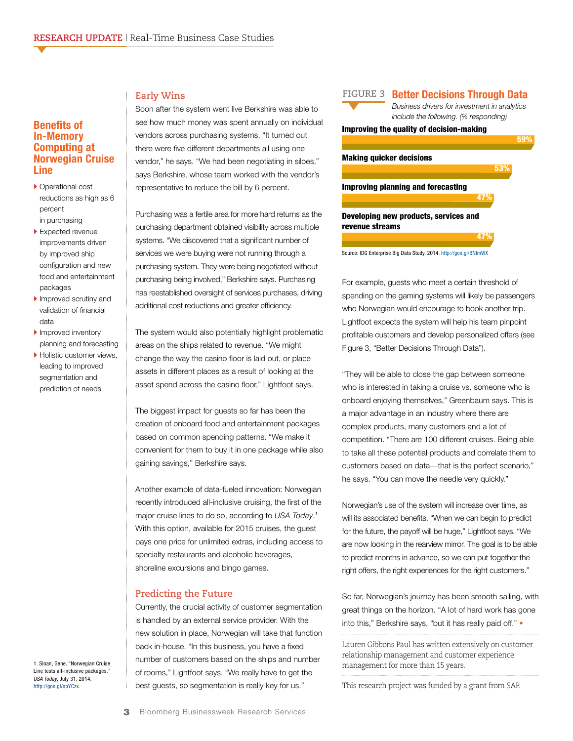#### **Benefits of In-Memory Computing at Norwegian Cruise Line**

- ▶ Operational cost reductions as high as 6 percent in purchasing
- ▶ Expected revenue improvements driven by improved ship configuration and new food and entertainment packages
- Improved scrutiny and validation of financial data
- ▶ Improved inventory planning and forecasting
- ▶ Holistic customer views, leading to improved segmentation and prediction of needs

#### **Early Wins**

Soon after the system went live Berkshire was able to see how much money was spent annually on individual vendors across purchasing systems. "It turned out there were five different departments all using one vendor," he says. "We had been negotiating in siloes," says Berkshire, whose team worked with the vendor's representative to reduce the bill by 6 percent.

Purchasing was a fertile area for more hard returns as the purchasing department obtained visibility across multiple systems. "We discovered that a significant number of services we were buying were not running through a purchasing system. They were being negotiated without purchasing being involved," Berkshire says. Purchasing has reestablished oversight of services purchases, driving additional cost reductions and greater efficiency.

The system would also potentially highlight problematic areas on the ships related to revenue. "We might change the way the casino floor is laid out, or place assets in different places as a result of looking at the asset spend across the casino floor," Lightfoot says.

The biggest impact for guests so far has been the creation of onboard food and entertainment packages based on common spending patterns. "We make it convenient for them to buy it in one package while also gaining savings," Berkshire says.

Another example of data-fueled innovation: Norwegian recently introduced all-inclusive cruising, the first of the major cruise lines to do so, according to *USA Today*. 1 With this option, available for 2015 cruises, the guest pays one price for unlimited extras, including access to specialty restaurants and alcoholic beverages, shoreline excursions and bingo games.

#### **Predicting the Future**

Currently, the crucial activity of customer segmentation is handled by an external service provider. With the new solution in place, Norwegian will take that function back in-house. "In this business, you have a fixed number of customers based on the ships and number of rooms," Lightfoot says. "We really have to get the best guests, so segmentation is really key for us."

#### **FIGURE 3 Better Decisions Through Data**

*Business drivers for investment in analytics include the following. (% responding)*

53% من المساحة المساحة المساحة المساحة المساحة المساحة المساحة المساحة المساحة المساحة المساحة المساحة المساحة

47% من المستخدم المستخدم المستخدم المستخدم المستخدم المستخدم المستخدم المستخدم المستخدم المستخدم المستخدم المس

#### Improving the quality of decision-making 59% من المسابق المسابق المسابق المسابق المسابق المسابق المسابق المسابق المسابق المسابق المسابق المسابق المسابق

#### Making quicker decisions

Improving planning and forecasting

Developing new products, services and revenue streams



Source: IDG Enterprise Big Data Study, 2014. <http://goo.gl/BNImWX>

For example, guests who meet a certain threshold of spending on the gaming systems will likely be passengers who Norwegian would encourage to book another trip. Lightfoot expects the system will help his team pinpoint profitable customers and develop personalized offers (see Figure 3, "Better Decisions Through Data").

"They will be able to close the gap between someone who is interested in taking a cruise vs. someone who is onboard enjoying themselves," Greenbaum says. This is a major advantage in an industry where there are complex products, many customers and a lot of competition. "There are 100 different cruises. Being able to take all these potential products and correlate them to customers based on data—that is the perfect scenario," he says. "You can move the needle very quickly."

Norwegian's use of the system will increase over time, as will its associated benefits. "When we can begin to predict for the future, the payoff will be huge," Lightfoot says. "We are now looking in the rearview mirror. The goal is to be able to predict months in advance, so we can put together the right offers, the right experiences for the right customers."

So far, Norwegian's journey has been smooth sailing, with great things on the horizon. "A lot of hard work has gone into this," Berkshire says, "but it has really paid off." •

Lauren Gibbons Paul has written extensively on customer relationship management and customer experience management for more than 15 years.

This research project was funded by a grant from SAP.

1. Sloan, Gene. "Norwegian Cruise Line tests all-inclusive packages." *USA Today*, July 31, 2014. <http://goo.gl/opYCzx>.